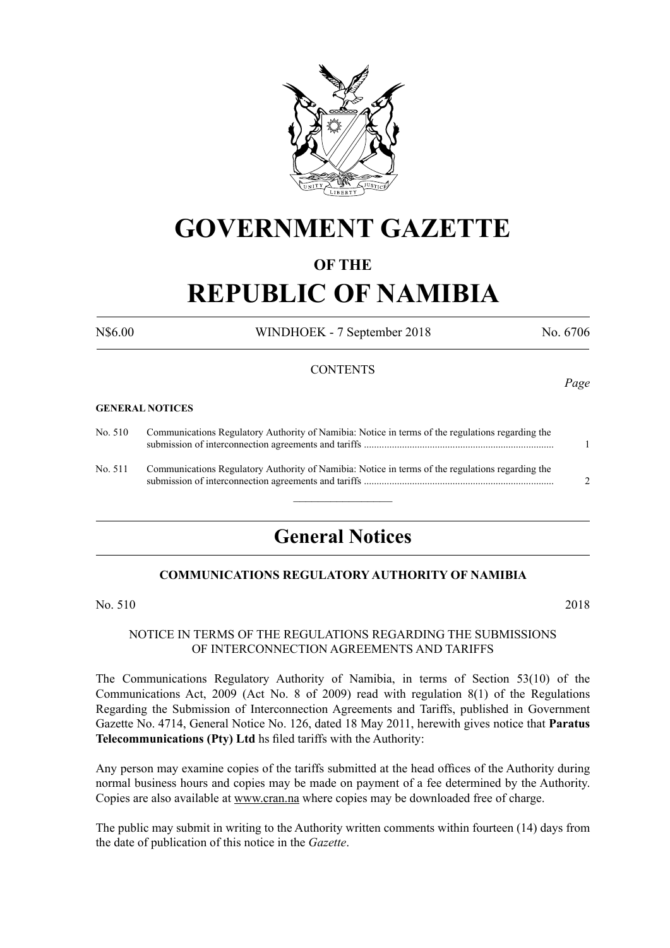

## **GOVERNMENT GAZETTE**

### **OF THE**

# **REPUBLIC OF NAMIBIA**

N\$6.00 WINDHOEK - 7 September 2018 No. 6706

#### **CONTENTS**

#### **GENERAL NOTICES**

| No. 510 | Communications Regulatory Authority of Namibia: Notice in terms of the regulations regarding the |  |
|---------|--------------------------------------------------------------------------------------------------|--|
| No. 511 | Communications Regulatory Authority of Namibia: Notice in terms of the regulations regarding the |  |

### **General Notices**

#### **COMMUNICATIONS REGULATORY AUTHORITY OF NAMIBIA**

No. 510 2018

#### NOTICE IN TERMS OF THE REGULATIONS REGARDING THE SUBMISSIONS OF INTERCONNECTION AGREEMENTS AND TARIFFS

The Communications Regulatory Authority of Namibia, in terms of Section 53(10) of the Communications Act, 2009 (Act No. 8 of 2009) read with regulation 8(1) of the Regulations Regarding the Submission of Interconnection Agreements and Tariffs, published in Government Gazette No. 4714, General Notice No. 126, dated 18 May 2011, herewith gives notice that **Paratus Telecommunications (Pty) Ltd** hs filed tariffs with the Authority:

Any person may examine copies of the tariffs submitted at the head offices of the Authority during normal business hours and copies may be made on payment of a fee determined by the Authority. Copies are also available at www.cran.na where copies may be downloaded free of charge.

The public may submit in writing to the Authority written comments within fourteen (14) days from the date of publication of this notice in the *Gazette*.

*Page*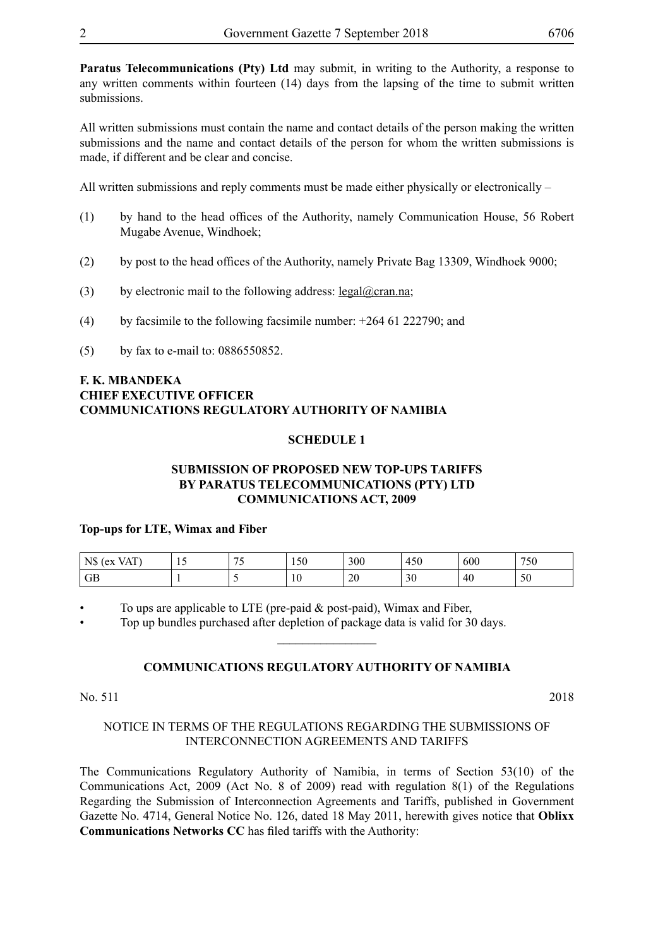**Paratus Telecommunications (Pty) Ltd** may submit, in writing to the Authority, a response to any written comments within fourteen (14) days from the lapsing of the time to submit written submissions.

All written submissions must contain the name and contact details of the person making the written submissions and the name and contact details of the person for whom the written submissions is made, if different and be clear and concise.

All written submissions and reply comments must be made either physically or electronically –

- (1) by hand to the head offices of the Authority, namely Communication House, 56 Robert Mugabe Avenue, Windhoek;
- (2) by post to the head offices of the Authority, namely Private Bag 13309, Windhoek 9000;
- (3) by electronic mail to the following address: legal@cran.na;
- (4) by facsimile to the following facsimile number: +264 61 222790; and
- (5) by fax to e-mail to: 0886550852.

#### **F. K. MBANDEKA CHIEF EXECUTIVE OFFICER COMMUNICATIONS REGULATORY AUTHORITY OF NAMIBIA**

#### **SCHEDULE 1**

#### **SUBMISSION OF PROPOSED NEW TOP-UPS TARIFFS BY PARATUS TELECOMMUNICATIONS (PTY) LTD COMMUNICATIONS ACT, 2009**

#### **Top-ups for LTE, Wimax and Fiber**

| <b>VAT</b><br>N\$<br>ex | - 11 | $ -$ | $  -$<br>1. J U | 300      | 450                 | 600 | $H - \Omega$<br>'JU |
|-------------------------|------|------|-----------------|----------|---------------------|-----|---------------------|
| GB                      |      |      | 10              | oc<br>∠∪ | $\sim$ $\sim$<br>3V | 40  | υU                  |

To ups are applicable to LTE (pre-paid  $&$  post-paid), Wimax and Fiber,

• Top up bundles purchased after depletion of package data is valid for 30 days.

#### **COMMUNICATIONS REGULATORY AUTHORITY OF NAMIBIA**

 $\overline{\phantom{a}}$  , where  $\overline{\phantom{a}}$ 

No. 511 2018

#### NOTICE IN TERMS OF THE REGULATIONS REGARDING THE SUBMISSIONS OF INTERCONNECTION AGREEMENTS AND TARIFFS

The Communications Regulatory Authority of Namibia, in terms of Section 53(10) of the Communications Act, 2009 (Act No. 8 of 2009) read with regulation 8(1) of the Regulations Regarding the Submission of Interconnection Agreements and Tariffs, published in Government Gazette No. 4714, General Notice No. 126, dated 18 May 2011, herewith gives notice that **Oblixx Communications Networks CC** has filed tariffs with the Authority: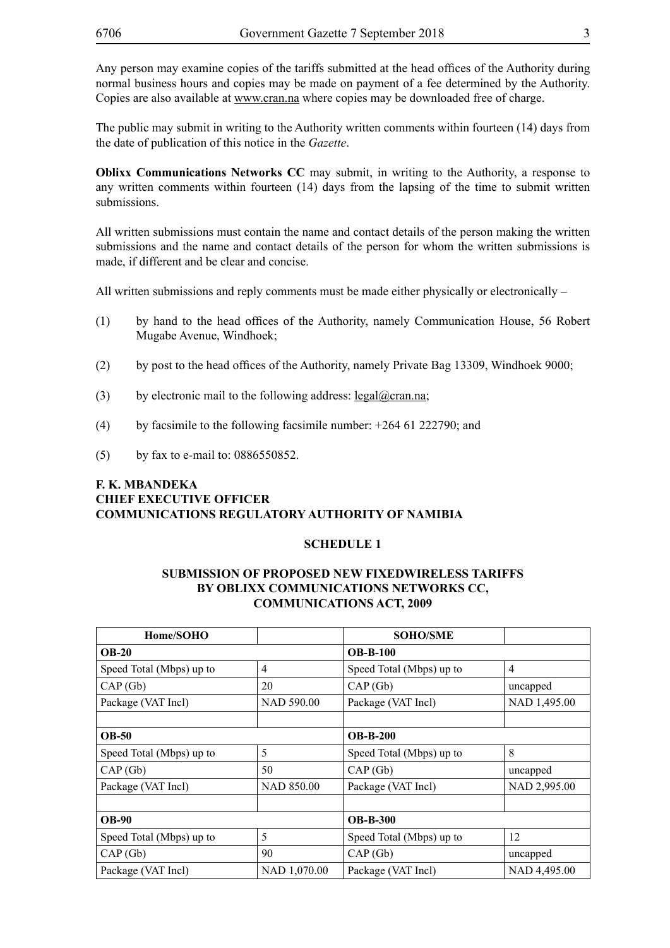Any person may examine copies of the tariffs submitted at the head offices of the Authority during normal business hours and copies may be made on payment of a fee determined by the Authority. Copies are also available at www.cran.na where copies may be downloaded free of charge.

The public may submit in writing to the Authority written comments within fourteen (14) days from the date of publication of this notice in the *Gazette*.

**Oblixx Communications Networks CC** may submit, in writing to the Authority, a response to any written comments within fourteen (14) days from the lapsing of the time to submit written submissions.

All written submissions must contain the name and contact details of the person making the written submissions and the name and contact details of the person for whom the written submissions is made, if different and be clear and concise.

All written submissions and reply comments must be made either physically or electronically  $-$ 

- (1) by hand to the head offices of the Authority, namely Communication House, 56 Robert Mugabe Avenue, Windhoek;
- (2) by post to the head offices of the Authority, namely Private Bag 13309, Windhoek 9000;
- (3) by electronic mail to the following address:  $\text{legal}(\omega)$ cran.na;
- (4) by facsimile to the following facsimile number: +264 61 222790; and
- (5) by fax to e-mail to: 0886550852.

#### **F. K. MBANDEKA CHIEF EXECUTIVE OFFICER COMMUNICATIONS REGULATORY AUTHORITY OF NAMIBIA**

#### **SCHEDULE 1**

#### **SUBMISSION OF PROPOSED NEW FIXEDWIRELESS TARIFFS BY OBLIXX COMMUNICATIONS NETWORKS CC, COMMUNICATIONS ACT, 2009**

| Home/SOHO                |              | <b>SOHO/SME</b>          |                |  |
|--------------------------|--------------|--------------------------|----------------|--|
| <b>OB-20</b>             |              | $OB-B-100$               |                |  |
| Speed Total (Mbps) up to | 4            | Speed Total (Mbps) up to | $\overline{4}$ |  |
| CAP(Gb)                  | 20           | CAP(Gb)                  | uncapped       |  |
| Package (VAT Incl)       | NAD 590.00   | Package (VAT Incl)       | NAD 1,495.00   |  |
|                          |              |                          |                |  |
| <b>OB-50</b>             |              | <b>OB-B-200</b>          |                |  |
| Speed Total (Mbps) up to | 5            | Speed Total (Mbps) up to | 8              |  |
| CAP(Gb)                  | 50           | CAP(Gb)                  | uncapped       |  |
| Package (VAT Incl)       | NAD 850.00   | Package (VAT Incl)       | NAD 2,995.00   |  |
|                          |              |                          |                |  |
| <b>OB-90</b>             |              | <b>OB-B-300</b>          |                |  |
| Speed Total (Mbps) up to | 5            | Speed Total (Mbps) up to | 12             |  |
| CAP(Gb)                  | 90           | CAP(Gb)                  | uncapped       |  |
| Package (VAT Incl)       | NAD 1,070.00 | Package (VAT Incl)       | NAD 4,495.00   |  |